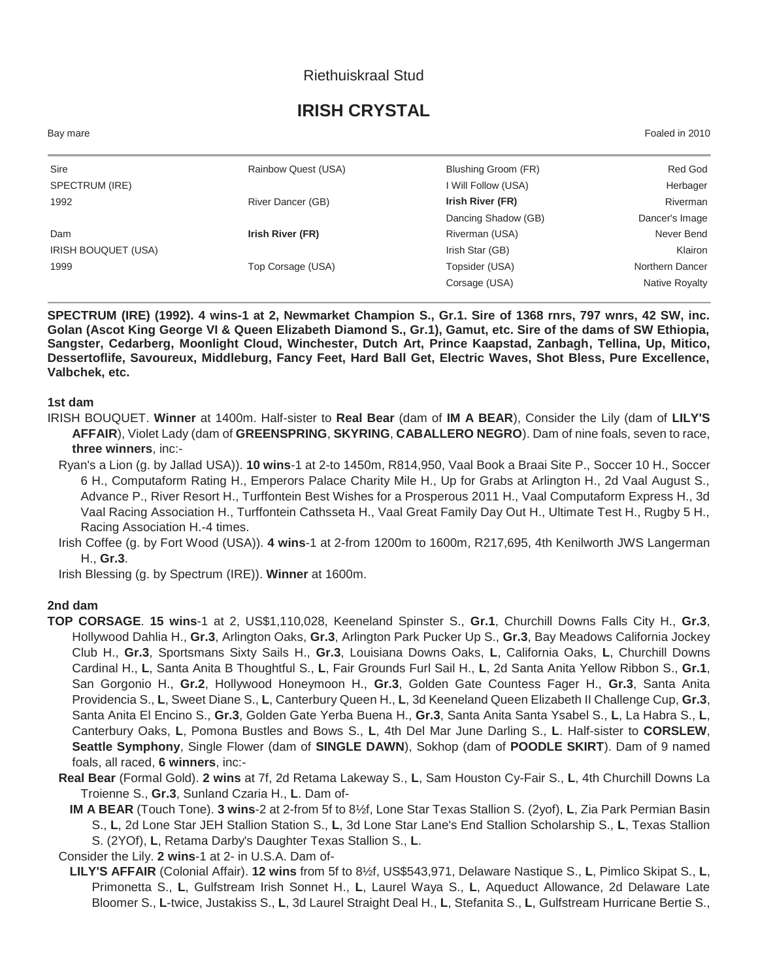## Riethuiskraal Stud

## **IRISH CRYSTAL**

Bay mare Foaled in 2010

| Sire                | Rainbow Quest (USA) | Blushing Groom (FR) | Red God         |
|---------------------|---------------------|---------------------|-----------------|
| SPECTRUM (IRE)      |                     | I Will Follow (USA) | Herbager        |
| 1992                | River Dancer (GB)   | Irish River (FR)    | Riverman        |
|                     |                     | Dancing Shadow (GB) | Dancer's Image  |
| Dam                 | Irish River (FR)    | Riverman (USA)      | Never Bend      |
| IRISH BOUQUET (USA) |                     | Irish Star (GB)     | Klairon         |
| 1999                | Top Corsage (USA)   | Topsider (USA)      | Northern Dancer |
|                     |                     | Corsage (USA)       | Native Royalty  |

**SPECTRUM (IRE) (1992). 4 wins-1 at 2, Newmarket Champion S., Gr.1. Sire of 1368 rnrs, 797 wnrs, 42 SW, inc. Golan (Ascot King George VI & Queen Elizabeth Diamond S., Gr.1), Gamut, etc. Sire of the dams of SW Ethiopia, Sangster, Cedarberg, Moonlight Cloud, Winchester, Dutch Art, Prince Kaapstad, Zanbagh, Tellina, Up, Mitico, Dessertoflife, Savoureux, Middleburg, Fancy Feet, Hard Ball Get, Electric Waves, Shot Bless, Pure Excellence, Valbchek, etc.**

**1st dam**

- IRISH BOUQUET. **Winner** at 1400m. Half-sister to **Real Bear** (dam of **IM A BEAR**), Consider the Lily (dam of **LILY'S AFFAIR**), Violet Lady (dam of **GREENSPRING**, **SKYRING**, **CABALLERO NEGRO**). Dam of nine foals, seven to race, **three winners**, inc:-
	- Ryan's a Lion (g. by Jallad USA)). **10 wins**-1 at 2-to 1450m, R814,950, Vaal Book a Braai Site P., Soccer 10 H., Soccer 6 H., Computaform Rating H., Emperors Palace Charity Mile H., Up for Grabs at Arlington H., 2d Vaal August S., Advance P., River Resort H., Turffontein Best Wishes for a Prosperous 2011 H., Vaal Computaform Express H., 3d Vaal Racing Association H., Turffontein Cathsseta H., Vaal Great Family Day Out H., Ultimate Test H., Rugby 5 H., Racing Association H.-4 times.
	- Irish Coffee (g. by Fort Wood (USA)). **4 wins**-1 at 2-from 1200m to 1600m, R217,695, 4th Kenilworth JWS Langerman H., **Gr.3**.

Irish Blessing (g. by Spectrum (IRE)). **Winner** at 1600m.

## **2nd dam**

- **TOP CORSAGE**. **15 wins**-1 at 2, US\$1,110,028, Keeneland Spinster S., **Gr.1**, Churchill Downs Falls City H., **Gr.3**, Hollywood Dahlia H., **Gr.3**, Arlington Oaks, **Gr.3**, Arlington Park Pucker Up S., **Gr.3**, Bay Meadows California Jockey Club H., **Gr.3**, Sportsmans Sixty Sails H., **Gr.3**, Louisiana Downs Oaks, **L**, California Oaks, **L**, Churchill Downs Cardinal H., **L**, Santa Anita B Thoughtful S., **L**, Fair Grounds Furl Sail H., **L**, 2d Santa Anita Yellow Ribbon S., **Gr.1**, San Gorgonio H., **Gr.2**, Hollywood Honeymoon H., **Gr.3**, Golden Gate Countess Fager H., **Gr.3**, Santa Anita Providencia S., **L**, Sweet Diane S., **L**, Canterbury Queen H., **L**, 3d Keeneland Queen Elizabeth II Challenge Cup, **Gr.3**, Santa Anita El Encino S., **Gr.3**, Golden Gate Yerba Buena H., **Gr.3**, Santa Anita Santa Ysabel S., **L**, La Habra S., **L**, Canterbury Oaks, **L**, Pomona Bustles and Bows S., **L**, 4th Del Mar June Darling S., **L**. Half-sister to **CORSLEW**, **Seattle Symphony**, Single Flower (dam of **SINGLE DAWN**), Sokhop (dam of **POODLE SKIRT**). Dam of 9 named foals, all raced, **6 winners**, inc:-
	- **Real Bear** (Formal Gold). **2 wins** at 7f, 2d Retama Lakeway S., **L**, Sam Houston Cy-Fair S., **L**, 4th Churchill Downs La Troienne S., **Gr.3**, Sunland Czaria H., **L**. Dam of-
		- **IM A BEAR** (Touch Tone). **3 wins**-2 at 2-from 5f to 8½f, Lone Star Texas Stallion S. (2yof), **L**, Zia Park Permian Basin S., **L**, 2d Lone Star JEH Stallion Station S., **L**, 3d Lone Star Lane's End Stallion Scholarship S., **L**, Texas Stallion S. (2YOf), **L**, Retama Darby's Daughter Texas Stallion S., **L**.

Consider the Lily. **2 wins**-1 at 2- in U.S.A. Dam of-

**LILY'S AFFAIR** (Colonial Affair). **12 wins** from 5f to 8½f, US\$543,971, Delaware Nastique S., **L**, Pimlico Skipat S., **L**, Primonetta S., **L**, Gulfstream Irish Sonnet H., **L**, Laurel Waya S., **L**, Aqueduct Allowance, 2d Delaware Late Bloomer S., **L**-twice, Justakiss S., **L**, 3d Laurel Straight Deal H., **L**, Stefanita S., **L**, Gulfstream Hurricane Bertie S.,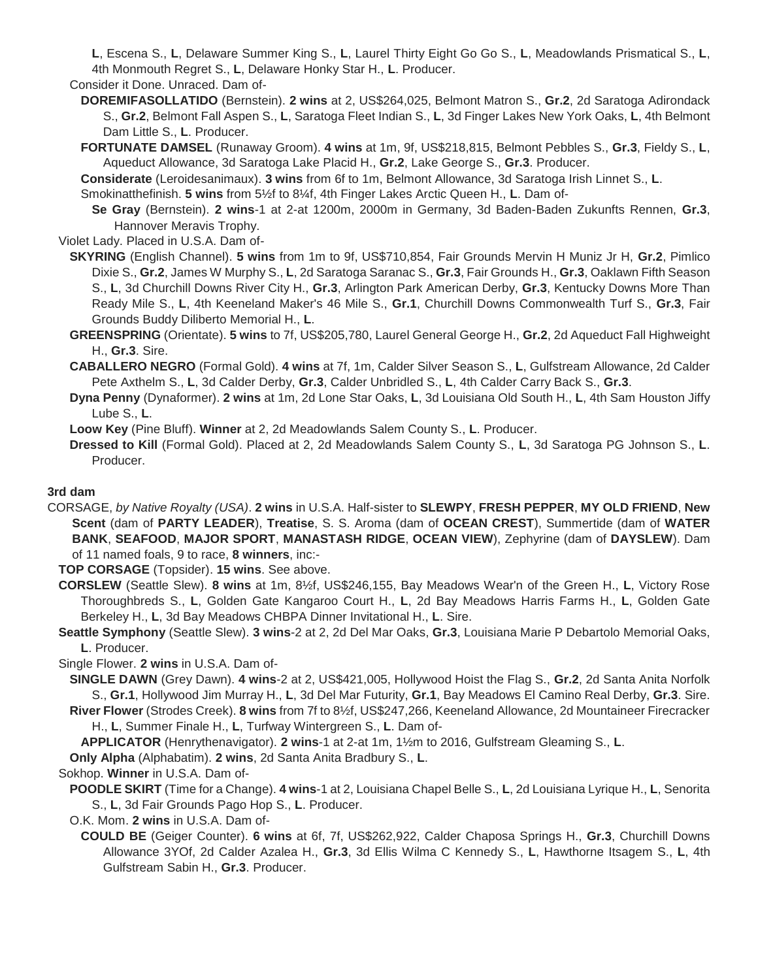**L**, Escena S., **L**, Delaware Summer King S., **L**, Laurel Thirty Eight Go Go S., **L**, Meadowlands Prismatical S., **L**, 4th Monmouth Regret S., **L**, Delaware Honky Star H., **L**. Producer.

Consider it Done. Unraced. Dam of-

- **DOREMIFASOLLATIDO** (Bernstein). **2 wins** at 2, US\$264,025, Belmont Matron S., **Gr.2**, 2d Saratoga Adirondack S., **Gr.2**, Belmont Fall Aspen S., **L**, Saratoga Fleet Indian S., **L**, 3d Finger Lakes New York Oaks, **L**, 4th Belmont Dam Little S., **L**. Producer.
- **FORTUNATE DAMSEL** (Runaway Groom). **4 wins** at 1m, 9f, US\$218,815, Belmont Pebbles S., **Gr.3**, Fieldy S., **L**, Aqueduct Allowance, 3d Saratoga Lake Placid H., **Gr.2**, Lake George S., **Gr.3**. Producer.

**Considerate** (Leroidesanimaux). **3 wins** from 6f to 1m, Belmont Allowance, 3d Saratoga Irish Linnet S., **L**.

Smokinatthefinish. **5 wins** from 5½f to 8¼f, 4th Finger Lakes Arctic Queen H., **L**. Dam of-

**Se Gray** (Bernstein). **2 wins**-1 at 2-at 1200m, 2000m in Germany, 3d Baden-Baden Zukunfts Rennen, **Gr.3**, Hannover Meravis Trophy.

Violet Lady. Placed in U.S.A. Dam of-

- **SKYRING** (English Channel). **5 wins** from 1m to 9f, US\$710,854, Fair Grounds Mervin H Muniz Jr H, **Gr.2**, Pimlico Dixie S., **Gr.2**, James W Murphy S., **L**, 2d Saratoga Saranac S., **Gr.3**, Fair Grounds H., **Gr.3**, Oaklawn Fifth Season S., **L**, 3d Churchill Downs River City H., **Gr.3**, Arlington Park American Derby, **Gr.3**, Kentucky Downs More Than Ready Mile S., **L**, 4th Keeneland Maker's 46 Mile S., **Gr.1**, Churchill Downs Commonwealth Turf S., **Gr.3**, Fair Grounds Buddy Diliberto Memorial H., **L**.
- **GREENSPRING** (Orientate). **5 wins** to 7f, US\$205,780, Laurel General George H., **Gr.2**, 2d Aqueduct Fall Highweight H., **Gr.3**. Sire.
- **CABALLERO NEGRO** (Formal Gold). **4 wins** at 7f, 1m, Calder Silver Season S., **L**, Gulfstream Allowance, 2d Calder Pete Axthelm S., **L**, 3d Calder Derby, **Gr.3**, Calder Unbridled S., **L**, 4th Calder Carry Back S., **Gr.3**.
- **Dyna Penny** (Dynaformer). **2 wins** at 1m, 2d Lone Star Oaks, **L**, 3d Louisiana Old South H., **L**, 4th Sam Houston Jiffy Lube S., **L**.

**Loow Key** (Pine Bluff). **Winner** at 2, 2d Meadowlands Salem County S., **L**. Producer.

**Dressed to Kill** (Formal Gold). Placed at 2, 2d Meadowlands Salem County S., **L**, 3d Saratoga PG Johnson S., **L**. Producer.

## **3rd dam**

CORSAGE, *by Native Royalty (USA)*. **2 wins** in U.S.A. Half-sister to **SLEWPY**, **FRESH PEPPER**, **MY OLD FRIEND**, **New Scent** (dam of **PARTY LEADER**), **Treatise**, S. S. Aroma (dam of **OCEAN CREST**), Summertide (dam of **WATER BANK**, **SEAFOOD**, **MAJOR SPORT**, **MANASTASH RIDGE**, **OCEAN VIEW**), Zephyrine (dam of **DAYSLEW**). Dam of 11 named foals, 9 to race, **8 winners**, inc:-

**TOP CORSAGE** (Topsider). **15 wins**. See above.

- **CORSLEW** (Seattle Slew). **8 wins** at 1m, 8½f, US\$246,155, Bay Meadows Wear'n of the Green H., **L**, Victory Rose Thoroughbreds S., **L**, Golden Gate Kangaroo Court H., **L**, 2d Bay Meadows Harris Farms H., **L**, Golden Gate Berkeley H., **L**, 3d Bay Meadows CHBPA Dinner Invitational H., **L**. Sire.
- **Seattle Symphony** (Seattle Slew). **3 wins**-2 at 2, 2d Del Mar Oaks, **Gr.3**, Louisiana Marie P Debartolo Memorial Oaks, **L**. Producer.

Single Flower. **2 wins** in U.S.A. Dam of-

**SINGLE DAWN** (Grey Dawn). **4 wins**-2 at 2, US\$421,005, Hollywood Hoist the Flag S., **Gr.2**, 2d Santa Anita Norfolk S., **Gr.1**, Hollywood Jim Murray H., **L**, 3d Del Mar Futurity, **Gr.1**, Bay Meadows El Camino Real Derby, **Gr.3**. Sire.

**River Flower** (Strodes Creek). **8 wins** from 7f to 8½f, US\$247,266, Keeneland Allowance, 2d Mountaineer Firecracker H., **L**, Summer Finale H., **L**, Turfway Wintergreen S., **L**. Dam of-

**APPLICATOR** (Henrythenavigator). **2 wins**-1 at 2-at 1m, 1½m to 2016, Gulfstream Gleaming S., **L**.

**Only Alpha** (Alphabatim). **2 wins**, 2d Santa Anita Bradbury S., **L**.

Sokhop. **Winner** in U.S.A. Dam of-

**POODLE SKIRT** (Time for a Change). **4 wins**-1 at 2, Louisiana Chapel Belle S., **L**, 2d Louisiana Lyrique H., **L**, Senorita S., **L**, 3d Fair Grounds Pago Hop S., **L**. Producer.

O.K. Mom. **2 wins** in U.S.A. Dam of-

**COULD BE** (Geiger Counter). **6 wins** at 6f, 7f, US\$262,922, Calder Chaposa Springs H., **Gr.3**, Churchill Downs Allowance 3YOf, 2d Calder Azalea H., **Gr.3**, 3d Ellis Wilma C Kennedy S., **L**, Hawthorne Itsagem S., **L**, 4th Gulfstream Sabin H., **Gr.3**. Producer.